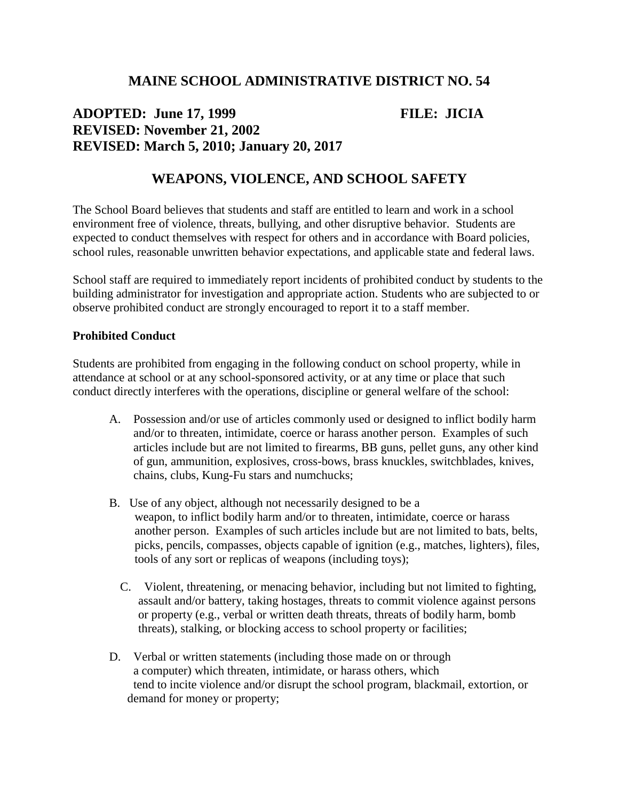## **MAINE SCHOOL ADMINISTRATIVE DISTRICT NO. 54**

## **ADOPTED: June 17, 1999 FILE: JICIA REVISED: November 21, 2002 REVISED: March 5, 2010; January 20, 2017**

# **WEAPONS, VIOLENCE, AND SCHOOL SAFETY**

The School Board believes that students and staff are entitled to learn and work in a school environment free of violence, threats, bullying, and other disruptive behavior. Students are expected to conduct themselves with respect for others and in accordance with Board policies, school rules, reasonable unwritten behavior expectations, and applicable state and federal laws.

School staff are required to immediately report incidents of prohibited conduct by students to the building administrator for investigation and appropriate action. Students who are subjected to or observe prohibited conduct are strongly encouraged to report it to a staff member.

#### **Prohibited Conduct**

Students are prohibited from engaging in the following conduct on school property, while in attendance at school or at any school-sponsored activity, or at any time or place that such conduct directly interferes with the operations, discipline or general welfare of the school:

- A. Possession and/or use of articles commonly used or designed to inflict bodily harm and/or to threaten, intimidate, coerce or harass another person. Examples of such articles include but are not limited to firearms, BB guns, pellet guns, any other kind of gun, ammunition, explosives, cross-bows, brass knuckles, switchblades, knives, chains, clubs, Kung-Fu stars and numchucks;
- B. Use of any object, although not necessarily designed to be a weapon, to inflict bodily harm and/or to threaten, intimidate, coerce or harass another person. Examples of such articles include but are not limited to bats, belts, picks, pencils, compasses, objects capable of ignition (e.g., matches, lighters), files, tools of any sort or replicas of weapons (including toys);
	- C. Violent, threatening, or menacing behavior, including but not limited to fighting, assault and/or battery, taking hostages, threats to commit violence against persons or property (e.g., verbal or written death threats, threats of bodily harm, bomb threats), stalking, or blocking access to school property or facilities;
- D. Verbal or written statements (including those made on or through a computer) which threaten, intimidate, or harass others, which tend to incite violence and/or disrupt the school program, blackmail, extortion, or demand for money or property;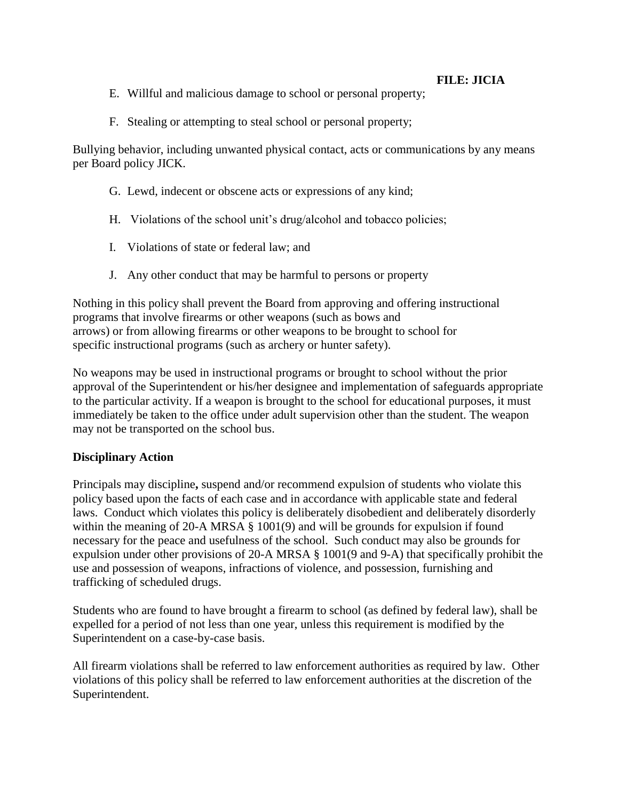### **FILE: JICIA**

- E. Willful and malicious damage to school or personal property;
- F. Stealing or attempting to steal school or personal property;

Bullying behavior, including unwanted physical contact, acts or communications by any means per Board policy JICK.

- G. Lewd, indecent or obscene acts or expressions of any kind;
- H. Violations of the school unit's drug/alcohol and tobacco policies;
- I. Violations of state or federal law; and
- J. Any other conduct that may be harmful to persons or property

Nothing in this policy shall prevent the Board from approving and offering instructional programs that involve firearms or other weapons (such as bows and arrows) or from allowing firearms or other weapons to be brought to school for specific instructional programs (such as archery or hunter safety).

No weapons may be used in instructional programs or brought to school without the prior approval of the Superintendent or his/her designee and implementation of safeguards appropriate to the particular activity. If a weapon is brought to the school for educational purposes, it must immediately be taken to the office under adult supervision other than the student. The weapon may not be transported on the school bus.

#### **Disciplinary Action**

Principals may discipline**,** suspend and/or recommend expulsion of students who violate this policy based upon the facts of each case and in accordance with applicable state and federal laws. Conduct which violates this policy is deliberately disobedient and deliberately disorderly within the meaning of 20-A MRSA § 1001(9) and will be grounds for expulsion if found necessary for the peace and usefulness of the school. Such conduct may also be grounds for expulsion under other provisions of 20-A MRSA § 1001(9 and 9-A) that specifically prohibit the use and possession of weapons, infractions of violence, and possession, furnishing and trafficking of scheduled drugs.

Students who are found to have brought a firearm to school (as defined by federal law), shall be expelled for a period of not less than one year, unless this requirement is modified by the Superintendent on a case-by-case basis.

All firearm violations shall be referred to law enforcement authorities as required by law. Other violations of this policy shall be referred to law enforcement authorities at the discretion of the Superintendent.